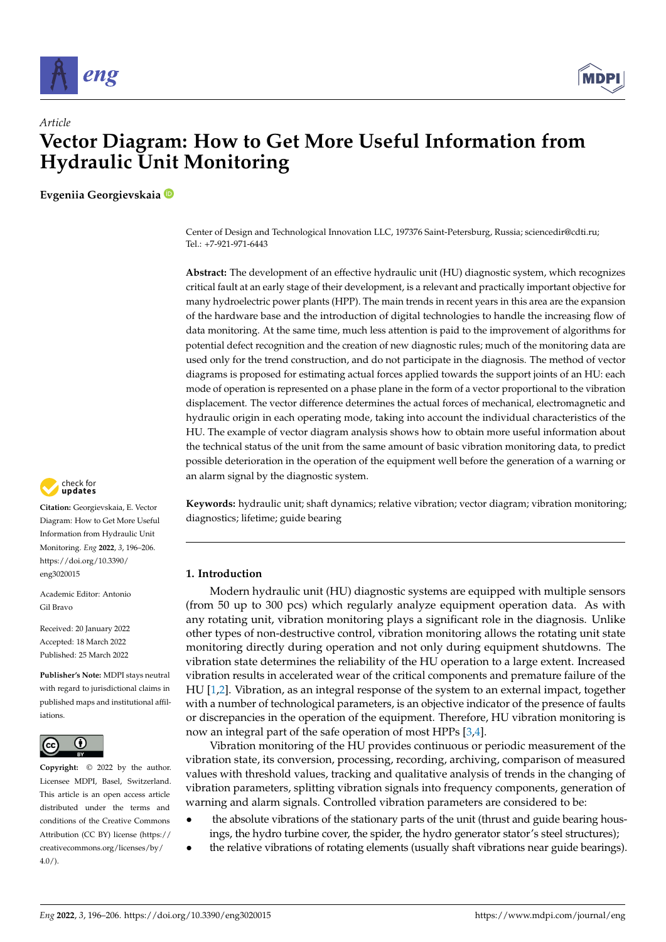

*Article*



# **Vector Diagram: How to Get More Useful Information from Hydraulic Unit Monitoring**

**Evgeniia Georgievskaia**

Center of Design and Technological Innovation LLC, 197376 Saint-Petersburg, Russia; sciencedir@cdti.ru; Tel.: +7-921-971-6443

**Abstract:** The development of an effective hydraulic unit (HU) diagnostic system, which recognizes critical fault at an early stage of their development, is a relevant and practically important objective for many hydroelectric power plants (HPP). The main trends in recent years in this area are the expansion of the hardware base and the introduction of digital technologies to handle the increasing flow of data monitoring. At the same time, much less attention is paid to the improvement of algorithms for potential defect recognition and the creation of new diagnostic rules; much of the monitoring data are used only for the trend construction, and do not participate in the diagnosis. The method of vector diagrams is proposed for estimating actual forces applied towards the support joints of an HU: each mode of operation is represented on a phase plane in the form of a vector proportional to the vibration displacement. The vector difference determines the actual forces of mechanical, electromagnetic and hydraulic origin in each operating mode, taking into account the individual characteristics of the HU. The example of vector diagram analysis shows how to obtain more useful information about the technical status of the unit from the same amount of basic vibration monitoring data, to predict possible deterioration in the operation of the equipment well before the generation of a warning or an alarm signal by the diagnostic system.

**Keywords:** hydraulic unit; shaft dynamics; relative vibration; vector diagram; vibration monitoring; diagnostics; lifetime; guide bearing

## **1. Introduction**

Modern hydraulic unit (HU) diagnostic systems are equipped with multiple sensors (from 50 up to 300 pcs) which regularly analyze equipment operation data. As with any rotating unit, vibration monitoring plays a significant role in the diagnosis. Unlike other types of non-destructive control, vibration monitoring allows the rotating unit state monitoring directly during operation and not only during equipment shutdowns. The vibration state determines the reliability of the HU operation to a large extent. Increased vibration results in accelerated wear of the critical components and premature failure of the HU [1,2]. Vibration, as an integral response of the system to an external impact, together with a number of technological parameters, is an objective indicator of the presence of faults or discrepancies in the operation of the equipment. Therefore, HU vibration monitoring is now an integral part of the safe operation of most HPPs [3,4].

Vibration monitoring of the HU provides continuous or periodic measurement of the vibration state, its conversion, processing, recording, archiving, comparison of measured values with threshold values, tracking and qualitative analysis of trends in the changing of vibration parameters, splitting vibration signals into frequency components, generation of warning and alarm signals. Controlled vibration parameters are considered to be:

- the absolute vibrations of the stationary parts of the unit (thrust and guide bearing housings, the hydro turbine cover, the spider, the hydro generator stator's steel structures);
- the relative vibrations of rotating elements (usually shaft vibrations near guide bearings).



**Citation:** Georgievskaia, E. Vector Diagram: How to Get More Useful Information from Hydraulic Unit Monitoring. *Eng* **2022**, *3*, 196–206. https://doi.org/10.3390/ eng3020015

Academic Editor: Antonio Gil Bravo

Received: 20 January 2022 Accepted: 18 March 2022 Published: 25 March 2022

**Publisher's Note:** MDPI stays neutral with regard to jurisdictional claims in published maps and institutional affiliations.



**Copyright:** © 2022 by the author. Licensee MDPI, Basel, Switzerland. This article is an open access article distributed under the terms and conditions of the Creative Commons Attribution (CC BY) license (https:// creativecommons.org/licenses/by/  $4.0/$ ).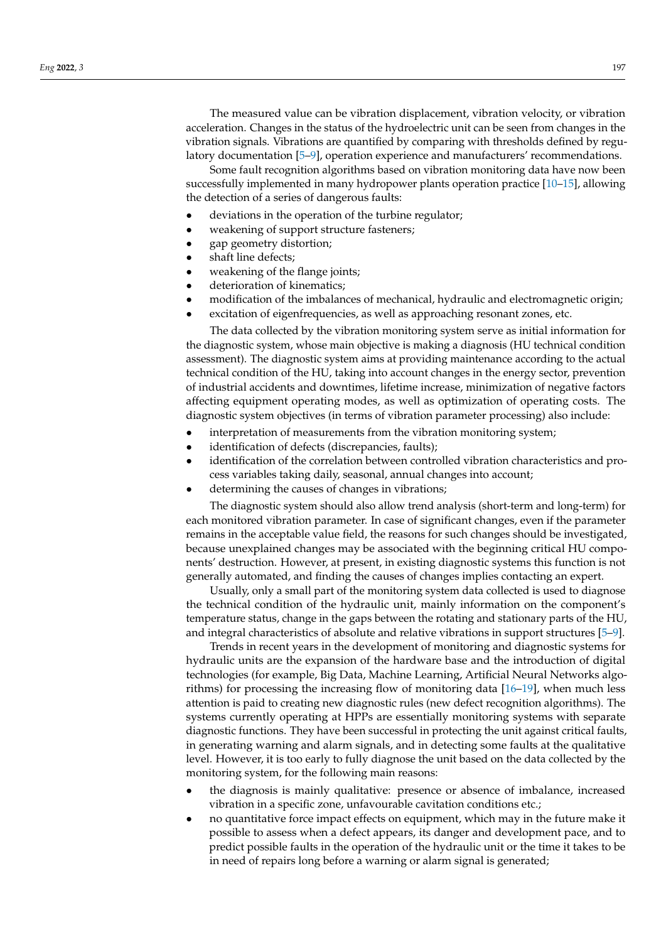The measured value can be vibration displacement, vibration velocity, or vibration acceleration. Changes in the status of the hydroelectric unit can be seen from changes in the vibration signals. Vibrations are quantified by comparing with thresholds defined by regulatory documentation [5–9], operation experience and manufacturers' recommendations.

Some fault recognition algorithms based on vibration monitoring data have now been successfully implemented in many hydropower plants operation practice [10–15], allowing the detection of a series of dangerous faults:

- deviations in the operation of the turbine regulator;
- weakening of support structure fasteners;
- gap geometry distortion;
- shaft line defects;
- weakening of the flange joints;
- deterioration of kinematics;
- modification of the imbalances of mechanical, hydraulic and electromagnetic origin;
- excitation of eigenfrequencies, as well as approaching resonant zones, etc.

The data collected by the vibration monitoring system serve as initial information for the diagnostic system, whose main objective is making a diagnosis (HU technical condition assessment). The diagnostic system aims at providing maintenance according to the actual technical condition of the HU, taking into account changes in the energy sector, prevention of industrial accidents and downtimes, lifetime increase, minimization of negative factors affecting equipment operating modes, as well as optimization of operating costs. The diagnostic system objectives (in terms of vibration parameter processing) also include:

- interpretation of measurements from the vibration monitoring system;
- identification of defects (discrepancies, faults);
- identification of the correlation between controlled vibration characteristics and process variables taking daily, seasonal, annual changes into account;
- determining the causes of changes in vibrations;

The diagnostic system should also allow trend analysis (short-term and long-term) for each monitored vibration parameter. In case of significant changes, even if the parameter remains in the acceptable value field, the reasons for such changes should be investigated, because unexplained changes may be associated with the beginning critical HU components' destruction. However, at present, in existing diagnostic systems this function is not generally automated, and finding the causes of changes implies contacting an expert.

Usually, only a small part of the monitoring system data collected is used to diagnose the technical condition of the hydraulic unit, mainly information on the component's temperature status, change in the gaps between the rotating and stationary parts of the HU, and integral characteristics of absolute and relative vibrations in support structures [5–9].

Trends in recent years in the development of monitoring and diagnostic systems for hydraulic units are the expansion of the hardware base and the introduction of digital technologies (for example, Big Data, Machine Learning, Artificial Neural Networks algorithms) for processing the increasing flow of monitoring data [16–19], when much less attention is paid to creating new diagnostic rules (new defect recognition algorithms). The systems currently operating at HPPs are essentially monitoring systems with separate diagnostic functions. They have been successful in protecting the unit against critical faults, in generating warning and alarm signals, and in detecting some faults at the qualitative level. However, it is too early to fully diagnose the unit based on the data collected by the monitoring system, for the following main reasons:

- the diagnosis is mainly qualitative: presence or absence of imbalance, increased vibration in a specific zone, unfavourable cavitation conditions etc.;
- no quantitative force impact effects on equipment, which may in the future make it possible to assess when a defect appears, its danger and development pace, and to predict possible faults in the operation of the hydraulic unit or the time it takes to be in need of repairs long before a warning or alarm signal is generated;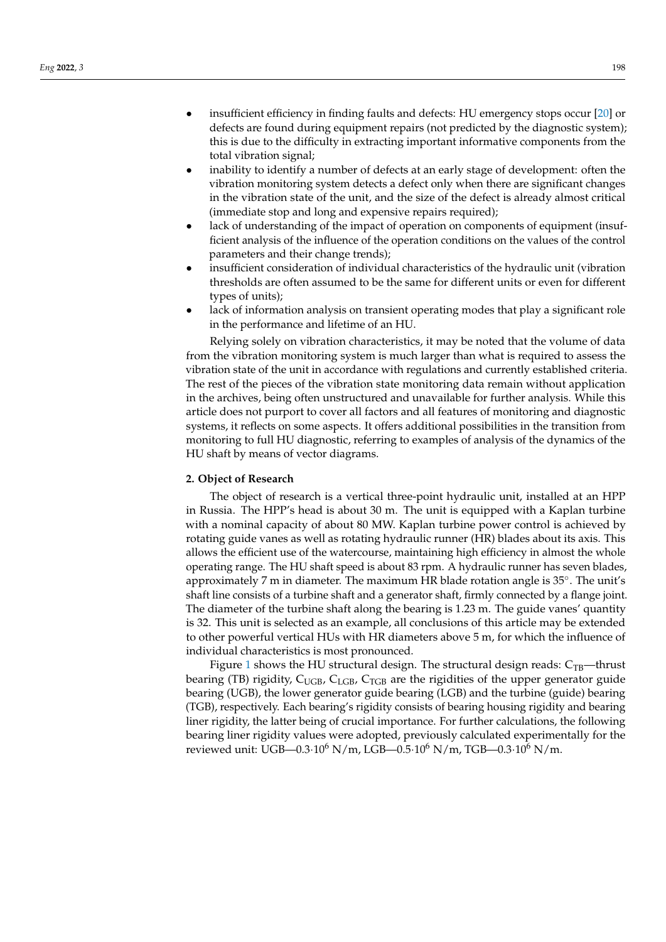- insufficient efficiency in finding faults and defects: HU emergency stops occur [20] or defects are found during equipment repairs (not predicted by the diagnostic system); this is due to the difficulty in extracting important informative components from the total vibration signal;
- inability to identify a number of defects at an early stage of development: often the vibration monitoring system detects a defect only when there are significant changes in the vibration state of the unit, and the size of the defect is already almost critical (immediate stop and long and expensive repairs required);
- lack of understanding of the impact of operation on components of equipment (insufficient analysis of the influence of the operation conditions on the values of the control parameters and their change trends);
- insufficient consideration of individual characteristics of the hydraulic unit (vibration thresholds are often assumed to be the same for different units or even for different types of units);
- lack of information analysis on transient operating modes that play a significant role in the performance and lifetime of an HU.

Relying solely on vibration characteristics, it may be noted that the volume of data from the vibration monitoring system is much larger than what is required to assess the vibration state of the unit in accordance with regulations and currently established criteria. The rest of the pieces of the vibration state monitoring data remain without application in the archives, being often unstructured and unavailable for further analysis. While this article does not purport to cover all factors and all features of monitoring and diagnostic systems, it reflects on some aspects. It offers additional possibilities in the transition from monitoring to full HU diagnostic, referring to examples of analysis of the dynamics of the HU shaft by means of vector diagrams.

#### **2. Object of Research**

The object of research is a vertical three-point hydraulic unit, installed at an HPP in Russia. The HPP's head is about 30 m. The unit is equipped with a Kaplan turbine with a nominal capacity of about 80 MW. Kaplan turbine power control is achieved by rotating guide vanes as well as rotating hydraulic runner (HR) blades about its axis. This allows the efficient use of the watercourse, maintaining high efficiency in almost the whole operating range. The HU shaft speed is about 83 rpm. A hydraulic runner has seven blades, approximately 7 m in diameter. The maximum HR blade rotation angle is 35◦ . The unit's shaft line consists of a turbine shaft and a generator shaft, firmly connected by a flange joint. The diameter of the turbine shaft along the bearing is 1.23 m. The guide vanes' quantity is 32. This unit is selected as an example, all conclusions of this article may be extended to other powerful vertical HUs with HR diameters above 5 m, for which the influence of individual characteristics is most pronounced.

Figure 1 shows the HU structural design. The structural design reads:  $C_{TB}$ —thrust bearing (TB) rigidity,  $C_{\text{UGB}}$ ,  $C_{\text{LGB}}$ ,  $C_{\text{TGB}}$  are the rigidities of the upper generator guide bearing (UGB), the lower generator guide bearing (LGB) and the turbine (guide) bearing (TGB), respectively. Each bearing's rigidity consists of bearing housing rigidity and bearing liner rigidity, the latter being of crucial importance. For further calculations, the following bearing liner rigidity values were adopted, previously calculated experimentally for the reviewed unit: UGB—0.3 $\cdot 10^6$  N/m, LGB—0.5 $\cdot 10^6$  N/m, TGB—0.3 $\cdot 10^6$  N/m.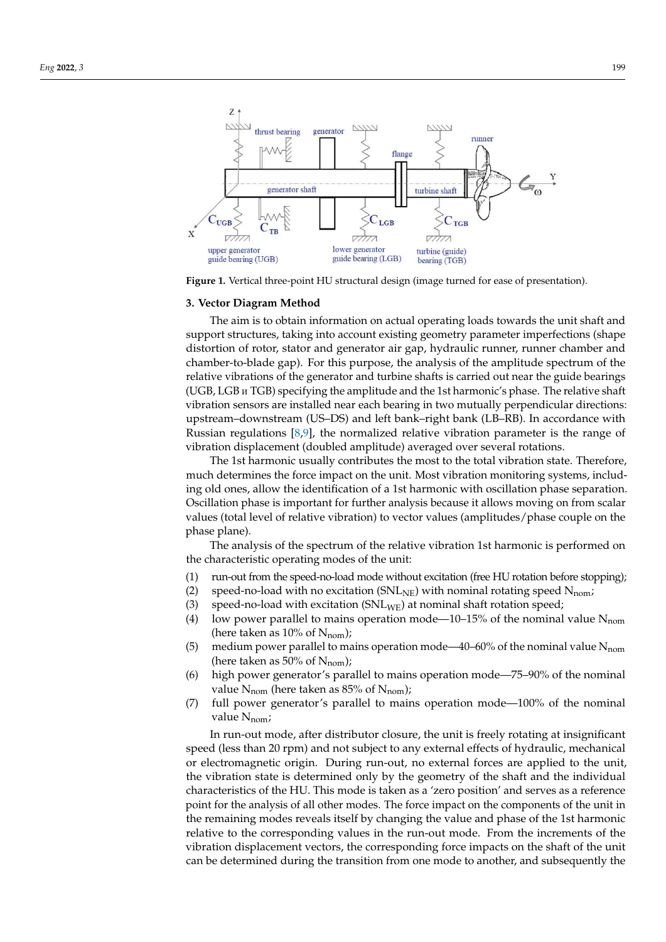

**Figure 1.** Vertical three-point HU structural design (image turned for ease of presentation).

#### **3. Vector Diagram Method**

(UGB, LGB и TGB) specifying the amplitude and the 1st harmonic's phase. The relative shaft applicant downstream (SB DB) and ferrolling right bank (BB RB). In decordance with<br>Russian regulations [8,9], the normalized relative vibration parameter is the range of The aim is to obtain information on actual operating loads towards the unit shaft and support structures, taking into account existing geometry parameter imperfections (shape distortion of rotor, stator and generator air gap, hydraulic runner, runner chamber and chamber-to-blade gap). For this purpose, the analysis of the amplitude spectrum of the relative vibrations of the generator and turbine shafts is carried out near the guide bearings vibration sensors are installed near each bearing in two mutually perpendicular directions: upstream–downstream (US–DS) and left bank–right bank (LB–RB). In accordance with vibration displacement (doubled amplitude) averaged over several rotations.

The 1st harmonic usually contributes the most to the total vibration state. Therefore, much determines the force impact on the unit. Most vibration monitoring systems, including old ones, allow the identification of a 1st harmonic with oscillation phase separation. Oscillation phase is important for further analysis because it allows moving on from scalar values (total level of relative vibration) to vector values (amplitudes/phase couple on the phase plane).

The analysis of the spectrum of the relative vibration 1st harmonic is performed on the characteristic operating modes of the unit:

- (1) run-out from the speed-no-load mode without excitation (free HU rotation before stopping);
- (2) speed-no-load with no excitation ( $SNL_{NE}$ ) with nominal rotating speed  $N_{nom}$ ;
- (3) speed-no-load with excitation  $(SNL_{WE})$  at nominal shaft rotation speed;
- (4) low power parallel to mains operation mode—10–15% of the nominal value  $N_{\text{nom}}$ (here taken as  $10\%$  of N<sub>nom</sub>);
- (5) medium power parallel to mains operation mode—40-60% of the nominal value  $N_{\text{nom}}$ (here taken as 50% of  $N_{\text{nom}}$ );
- (6) high power generator's parallel to mains operation mode-75-90% of the nominal value  $N_{\text{nom}}$  (here taken as 85% of  $N_{\text{nom}}$ );
- (7) full power generator's parallel to mains operation mode—100% of the nominal value  $N_{\text{nom}}$ ;

In run-out mode, after distributor closure, the unit is freely rotating at insignificant ' ' the remaining modes reveals itself by changing the value and phase of the 1st harmonic speed (less than 20 rpm) and not subject to any external effects of hydraulic, mechanical or electromagnetic origin. During run-out, no external forces are applied to the unit, the vibration state is determined only by the geometry of the shaft and the individual characteristics of the HU. This mode is taken as a 'zero position' and serves as a reference point for the analysis of all other modes. The force impact on the components of the unit in relative to the corresponding values in the run-out mode. From the increments of the vibration displacement vectors, the corresponding force impacts on the shaft of the unit can be determined during the transition from one mode to another, and subsequently the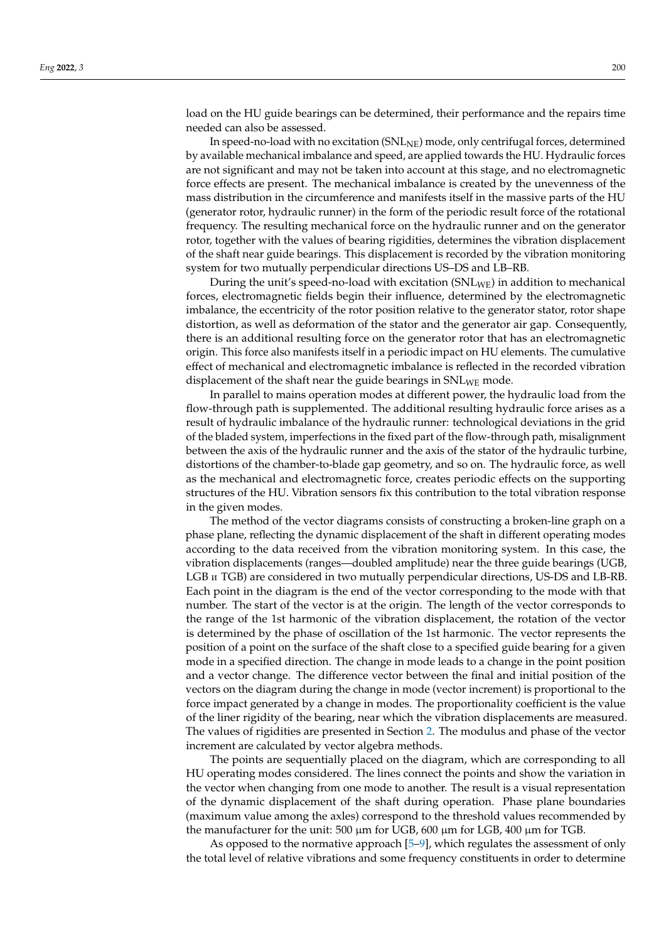load on the HU guide bearings can be determined, their performance and the repairs time needed can also be assessed.

In speed-no-load with no excitation (SNL<sub>NE</sub>) mode, only centrifugal forces, determined by available mechanical imbalance and speed, are applied towards the HU. Hydraulic forces are not significant and may not be taken into account at this stage, and no electromagnetic force effects are present. The mechanical imbalance is created by the unevenness of the mass distribution in the circumference and manifests itself in the massive parts of the HU (generator rotor, hydraulic runner) in the form of the periodic result force of the rotational frequency. The resulting mechanical force on the hydraulic runner and on the generator rotor, together with the values of bearing rigidities, determines the vibration displacement of the shaft near guide bearings. This displacement is recorded by the vibration monitoring system for two mutually perpendicular directions US–DS and LB–RB.

During the unit's speed-no-load with excitation (SNLWE) in addition to mechanical forces, electromagnetic fields begin their influence, determined by the electromagnetic imbalance, the eccentricity of the rotor position relative to the generator stator, rotor shape distortion, as well as deformation of the stator and the generator air gap. Consequently, there is an additional resulting force on the generator rotor that has an electromagnetic origin. This force also manifests itself in a periodic impact on HU elements. The cumulative effect of mechanical and electromagnetic imbalance is reflected in the recorded vibration displacement of the shaft near the guide bearings in  $\text{SNL}_{\text{WE}}$  mode.

In parallel to mains operation modes at different power, the hydraulic load from the flow-through path is supplemented. The additional resulting hydraulic force arises as a result of hydraulic imbalance of the hydraulic runner: technological deviations in the grid of the bladed system, imperfections in the fixed part of the flow-through path, misalignment between the axis of the hydraulic runner and the axis of the stator of the hydraulic turbine, distortions of the chamber-to-blade gap geometry, and so on. The hydraulic force, as well as the mechanical and electromagnetic force, creates periodic effects on the supporting structures of the HU. Vibration sensors fix this contribution to the total vibration response in the given modes.

The method of the vector diagrams consists of constructing a broken-line graph on a phase plane, reflecting the dynamic displacement of the shaft in different operating modes according to the data received from the vibration monitoring system. In this case, the vibration displacements (ranges—doubled amplitude) near the three guide bearings (UGB, LGB и TGB) are considered in two mutually perpendicular directions, US-DS and LB-RB. Each point in the diagram is the end of the vector corresponding to the mode with that number. The start of the vector is at the origin. The length of the vector corresponds to the range of the 1st harmonic of the vibration displacement, the rotation of the vector is determined by the phase of oscillation of the 1st harmonic. The vector represents the position of a point on the surface of the shaft close to a specified guide bearing for a given mode in a specified direction. The change in mode leads to a change in the point position and a vector change. The difference vector between the final and initial position of the vectors on the diagram during the change in mode (vector increment) is proportional to the force impact generated by a change in modes. The proportionality coefficient is the value of the liner rigidity of the bearing, near which the vibration displacements are measured. The values of rigidities are presented in Section 2. The modulus and phase of the vector increment are calculated by vector algebra methods.

The points are sequentially placed on the diagram, which are corresponding to all HU operating modes considered. The lines connect the points and show the variation in the vector when changing from one mode to another. The result is a visual representation of the dynamic displacement of the shaft during operation. Phase plane boundaries (maximum value among the axles) correspond to the threshold values recommended by the manufacturer for the unit: 500  $\mu$ m for UGB, 600  $\mu$ m for LGB, 400  $\mu$ m for TGB.

As opposed to the normative approach [5–9], which regulates the assessment of only the total level of relative vibrations and some frequency constituents in order to determine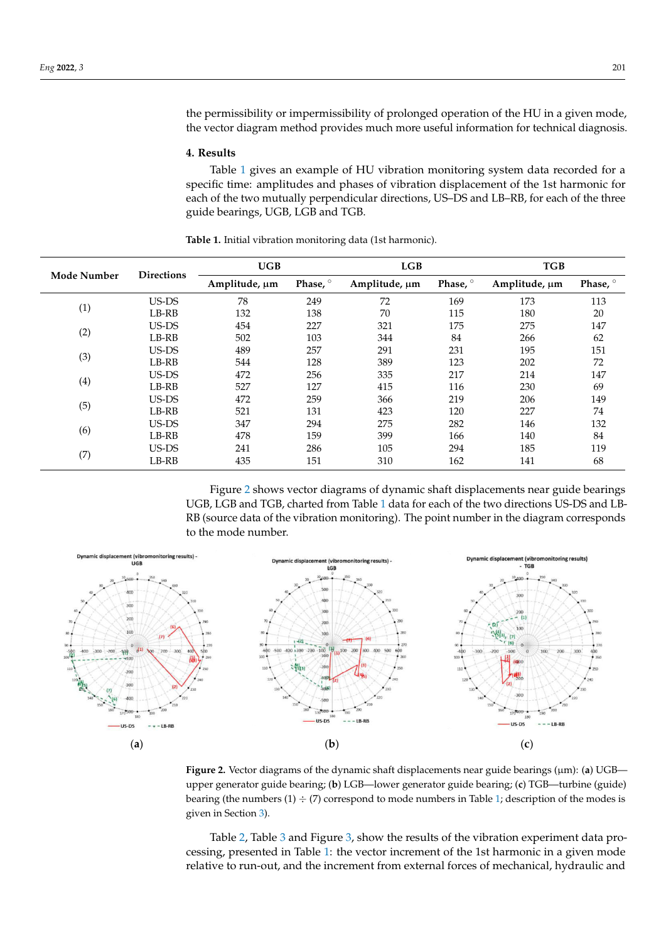the permissibility or impermissibility of prolonged operation of the HU in a given mode, the vector diagram method provides much more useful information for technical diagnosis.

#### **4. Results**

Table 1 gives an example of HU vibration monitoring system data recorded for a specific time: amplitudes and phases of vibration displacement of the 1st harmonic for each of the two mutually perpendicular directions, US–DS and LB–RB, for each of the three guide bearings, UGB, LGB and TGB.

| <b>Mode Number</b> |                   | UGB           |                     | LGB           |                     | <b>TGB</b>    |                   |
|--------------------|-------------------|---------------|---------------------|---------------|---------------------|---------------|-------------------|
|                    | <b>Directions</b> | Amplitude, µm | Phase, <sup>o</sup> | Amplitude, µm | Phase, <sup>o</sup> | Amplitude, µm | Phase, $^{\circ}$ |
| (1)                | US-DS             | 78            | 249                 | 72            | 169                 | 173           | 113               |
|                    | LB-RB             | 132           | 138                 | 70            | 115                 | 180           | 20                |
| (2)                | US-DS             | 454           | 227                 | 321           | 175                 | 275           | 147               |
|                    | LB-RB             | 502           | 103                 | 344           | 84                  | 266           | 62                |
| (3)                | US-DS             | 489           | 257                 | 291           | 231                 | 195           | 151               |
|                    | LB-RB             | 544           | 128                 | 389           | 123                 | 202           | 72                |
| (4)                | US-DS             | 472           | 256                 | 335           | 217                 | 214           | 147               |
|                    | LB-RB             | 527           | 127                 | 415           | 116                 | 230           | 69                |
| (5)                | US-DS             | 472           | 259                 | 366           | 219                 | 206           | 149               |
|                    | LB-RB             | 521           | 131                 | 423           | 120                 | 227           | 74                |
| (6)                | US-DS             | 347           | 294                 | 275           | 282                 | 146           | 132               |
|                    | LB-RB             | 478           | 159                 | 399           | 166                 | 140           | 84                |
| (7)                | US-DS             | 241           | 286                 | 105           | 294                 | 185           | 119               |
|                    | LB-RB             | 435           | 151                 | 310           | 162                 | 141           | 68                |

**Table 1.** Initial vibration monitoring data (1st harmonic).

Figure 2 shows vector diagrams of dynamic shaft displacements near guide bearings UGB, LGB and TGB, charted from Table 1 data for each of the two directions US-DS and LB-RB (source data of the vibration monitoring). The point number in the diagram corresponds to the mode number.



**Figure 2.** Vector diagrams of the dynamic shaft displacements near guide bearings (μm): (a) UGB— — — upper generator guide bearing; (**b**) LGB—lower generator guide bearing; (**c**) TGB—turbine (guide) bearing (the numbers  $(1) \div (7)$  correspond to mode numbers in Table 1; description of the modes is given in Section 3).

Table 2, Table 3 and Figure 3, show the results of the vibration experiment data processing, presented in Table 1: the vector increment of the 1st harmonic in a given mode relative to run-out, and the increment from external forces of mechanical, hydraulic and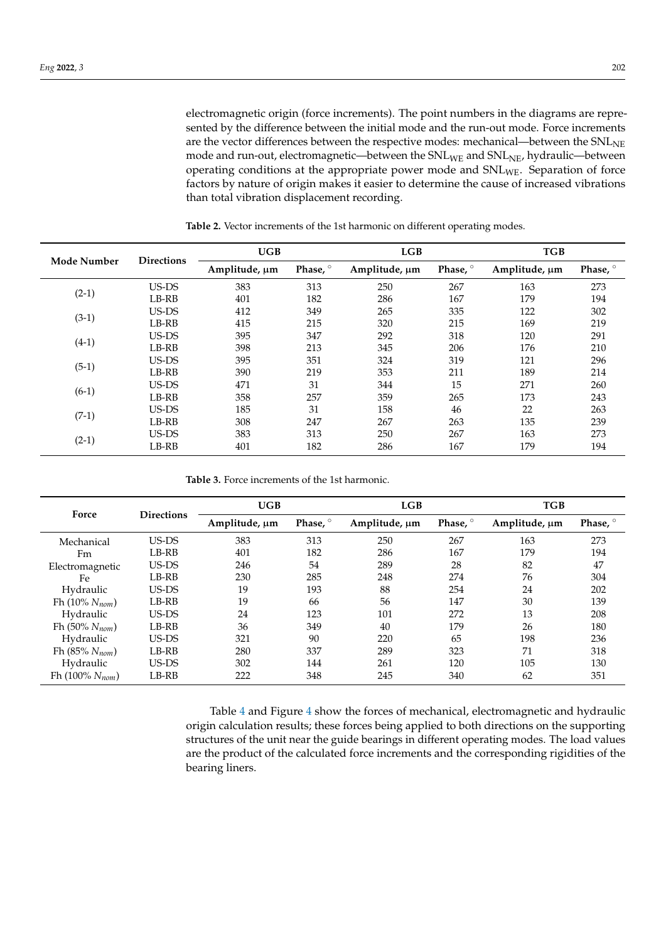electromagnetic origin (force increments). The point numbers in the diagrams are represented by the difference between the initial mode and the run-out mode. Force increments are the vector differences between the respective modes: mechanical—between the SNL<sub>NE</sub> mode and run-out, electromagnetic—between the  $SNL_{WE}$  and  $SNL_{NE}$ , hydraulic—between operating conditions at the appropriate power mode and SNLWE. Separation of force factors by nature of origin makes it easier to determine the cause of increased vibrations than total vibration displacement recording.

| <b>Mode Number</b> | <b>Directions</b> | UGB           |                     | LGB           |                     | <b>TGB</b>    |          |
|--------------------|-------------------|---------------|---------------------|---------------|---------------------|---------------|----------|
|                    |                   | Amplitude, µm | Phase, <sup>o</sup> | Amplitude, µm | Phase, <sup>o</sup> | Amplitude, µm | Phase, ° |
| $(2-1)$            | US-DS             | 383           | 313                 | 250           | 267                 | 163           | 273      |
|                    | LB-RB             | 401           | 182                 | 286           | 167                 | 179           | 194      |
|                    | US-DS             | 412           | 349                 | 265           | 335                 | 122           | 302      |
| $(3-1)$            | LB-RB             | 415           | 215                 | 320           | 215                 | 169           | 219      |
|                    | US-DS             | 395           | 347                 | 292           | 318                 | 120           | 291      |
| $(4-1)$            | LB-RB             | 398           | 213                 | 345           | 206                 | 176           | 210      |
| $(5-1)$            | US-DS             | 395           | 351                 | 324           | 319                 | 121           | 296      |
|                    | LB-RB             | 390           | 219                 | 353           | 211                 | 189           | 214      |
|                    | US-DS             | 471           | 31                  | 344           | 15                  | 271           | 260      |
| $(6-1)$            | LB-RB             | 358           | 257                 | 359           | 265                 | 173           | 243      |
| $(7-1)$            | US-DS             | 185           | 31                  | 158           | 46                  | 22            | 263      |
|                    | LB-RB             | 308           | 247                 | 267           | 263                 | 135           | 239      |
| $(2-1)$            | US-DS             | 383           | 313                 | 250           | 267                 | 163           | 273      |
|                    | LB-RB             | 401           | 182                 | 286           | 167                 | 179           | 194      |

**Table 2.** Vector increments of the 1st harmonic on different operating modes.

**Table 3.** Force increments of the 1st harmonic.

| Force                | <b>Directions</b> | UGB           |          | LGB           |          | <b>TGB</b>    |          |
|----------------------|-------------------|---------------|----------|---------------|----------|---------------|----------|
|                      |                   | Amplitude, µm | Phase, ° | Amplitude, µm | Phase, ° | Amplitude, µm | Phase, ° |
| Mechanical           | US-DS             | 383           | 313      | 250           | 267      | 163           | 273      |
| Fm                   | LB-RB             | 401           | 182      | 286           | 167      | 179           | 194      |
| Electromagnetic      | US-DS             | 246           | 54       | 289           | 28       | 82            | 47       |
| Fe                   | LB-RB             | 230           | 285      | 248           | 274      | 76            | 304      |
| Hydraulic            | US-DS             | 19            | 193      | 88            | 254      | 24            | 202      |
| Fh $(10\% N_{nom})$  | LB-RB             | 19            | 66       | 56            | 147      | 30            | 139      |
| Hydraulic            | US-DS             | 24            | 123      | 101           | 272      | 13            | 208      |
| Fh $(50\% N_{nom})$  | LB-RB             | 36            | 349      | 40            | 179      | 26            | 180      |
| Hydraulic            | US-DS             | 321           | 90       | 220           | 65       | 198           | 236      |
| Fh $(85\% N_{nom})$  | LB-RB             | 280           | 337      | 289           | 323      | 71            | 318      |
| Hydraulic            | US-DS             | 302           | 144      | 261           | 120      | 105           | 130      |
| Fh $(100\% N_{nom})$ | LB-RB             | 222           | 348      | 245           | 340      | 62            | 351      |

Table 4 and Figure 4 show the forces of mechanical, electromagnetic and hydraulic origin calculation results; these forces being applied to both directions on the supporting structures of the unit near the guide bearings in different operating modes. The load values are the product of the calculated force increments and the corresponding rigidities of the bearing liners.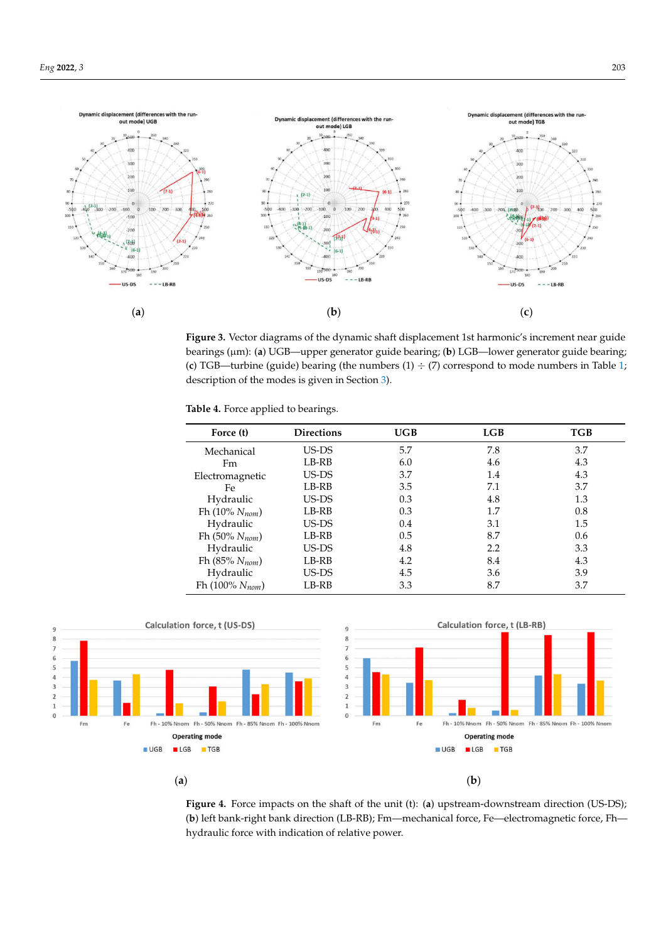

Figure 3. Vector diagrams of the dynamic shaft displacement 1st harmonic's increment near guide bearings (μm): (a) UGB—upper generator guide bearing; (**b**) LGB—lower generator guide bearing; (c) TGB—turbine (guide) bearing (the numbers  $(1) \div (7)$  correspond to mode numbers in Table 1; description of the modes is given in Section 3).

| Table 4. Force applied to bearings. |  |  |
|-------------------------------------|--|--|
|-------------------------------------|--|--|

| Force (t)            | <b>Directions</b> | <b>UGB</b> | LGB | TGB |
|----------------------|-------------------|------------|-----|-----|
| Mechanical           | US-DS             | 5.7        | 7.8 | 3.7 |
| Fm                   | LB-RB             | 6.0        | 4.6 | 4.3 |
| Electromagnetic      | US-DS             | 3.7        | 1.4 | 4.3 |
| Fe                   | LB-RB             | 3.5        | 7.1 | 3.7 |
| Hydraulic            | US-DS             | 0.3        | 4.8 | 1.3 |
| Fh $(10\% N_{nom})$  | LB-RB             | 0.3        | 1.7 | 0.8 |
| Hydraulic            | US-DS             | 0.4        | 3.1 | 1.5 |
| Fh $(50\% N_{nom})$  | LB-RB             | 0.5        | 8.7 | 0.6 |
| Hydraulic            | US-DS             | 4.8        | 2.2 | 3.3 |
| Fh $(85\% N_{nom})$  | LB-RB             | 4.2        | 8.4 | 4.3 |
| Hydraulic            | US-DS             | 4.5        | 3.6 | 3.9 |
| Fh $(100\% N_{nom})$ | LB-RB             | 3.3        | 8.7 | 3.7 |



(b) left bank-right bank direction (LB-RB); Fm-mechanical force, Fe-electromagnetic force, Fh-**Figure 4.** Force impacts on the shaft of the unit (t): (**a**) upstream-downstream direction (US-DS); hydraulic force with indication of relative power.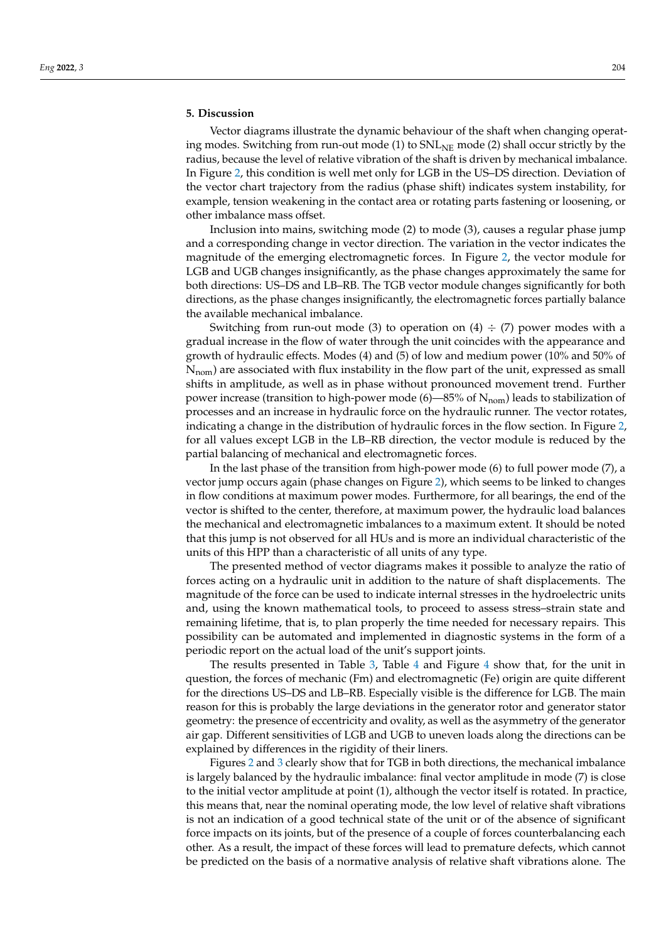### **5. Discussion**

Vector diagrams illustrate the dynamic behaviour of the shaft when changing operating modes. Switching from run-out mode (1) to  $SNL_{NE}$  mode (2) shall occur strictly by the radius, because the level of relative vibration of the shaft is driven by mechanical imbalance. In Figure 2, this condition is well met only for LGB in the US–DS direction. Deviation of the vector chart trajectory from the radius (phase shift) indicates system instability, for example, tension weakening in the contact area or rotating parts fastening or loosening, or other imbalance mass offset.

Inclusion into mains, switching mode (2) to mode (3), causes a regular phase jump and a corresponding change in vector direction. The variation in the vector indicates the magnitude of the emerging electromagnetic forces. In Figure 2, the vector module for LGB and UGB changes insignificantly, as the phase changes approximately the same for both directions: US–DS and LB–RB. The TGB vector module changes significantly for both directions, as the phase changes insignificantly, the electromagnetic forces partially balance the available mechanical imbalance.

Switching from run-out mode (3) to operation on (4)  $\div$  (7) power modes with a gradual increase in the flow of water through the unit coincides with the appearance and growth of hydraulic effects. Modes (4) and (5) of low and medium power (10% and 50% of N<sub>nom</sub>) are associated with flux instability in the flow part of the unit, expressed as small shifts in amplitude, as well as in phase without pronounced movement trend. Further power increase (transition to high-power mode  $(6)$ —85% of  $N_{\text{nom}}$ ) leads to stabilization of processes and an increase in hydraulic force on the hydraulic runner. The vector rotates, indicating a change in the distribution of hydraulic forces in the flow section. In Figure 2, for all values except LGB in the LB–RB direction, the vector module is reduced by the partial balancing of mechanical and electromagnetic forces.

In the last phase of the transition from high-power mode (6) to full power mode (7), a vector jump occurs again (phase changes on Figure 2), which seems to be linked to changes in flow conditions at maximum power modes. Furthermore, for all bearings, the end of the vector is shifted to the center, therefore, at maximum power, the hydraulic load balances the mechanical and electromagnetic imbalances to a maximum extent. It should be noted that this jump is not observed for all HUs and is more an individual characteristic of the units of this HPP than a characteristic of all units of any type.

The presented method of vector diagrams makes it possible to analyze the ratio of forces acting on a hydraulic unit in addition to the nature of shaft displacements. The magnitude of the force can be used to indicate internal stresses in the hydroelectric units and, using the known mathematical tools, to proceed to assess stress–strain state and remaining lifetime, that is, to plan properly the time needed for necessary repairs. This possibility can be automated and implemented in diagnostic systems in the form of a periodic report on the actual load of the unit's support joints.

The results presented in Table 3, Table 4 and Figure 4 show that, for the unit in question, the forces of mechanic (Fm) and electromagnetic (Fe) origin are quite different for the directions US–DS and LB–RB. Especially visible is the difference for LGB. The main reason for this is probably the large deviations in the generator rotor and generator stator geometry: the presence of eccentricity and ovality, as well as the asymmetry of the generator air gap. Different sensitivities of LGB and UGB to uneven loads along the directions can be explained by differences in the rigidity of their liners.

Figures 2 and 3 clearly show that for TGB in both directions, the mechanical imbalance is largely balanced by the hydraulic imbalance: final vector amplitude in mode (7) is close to the initial vector amplitude at point (1), although the vector itself is rotated. In practice, this means that, near the nominal operating mode, the low level of relative shaft vibrations is not an indication of a good technical state of the unit or of the absence of significant force impacts on its joints, but of the presence of a couple of forces counterbalancing each other. As a result, the impact of these forces will lead to premature defects, which cannot be predicted on the basis of a normative analysis of relative shaft vibrations alone. The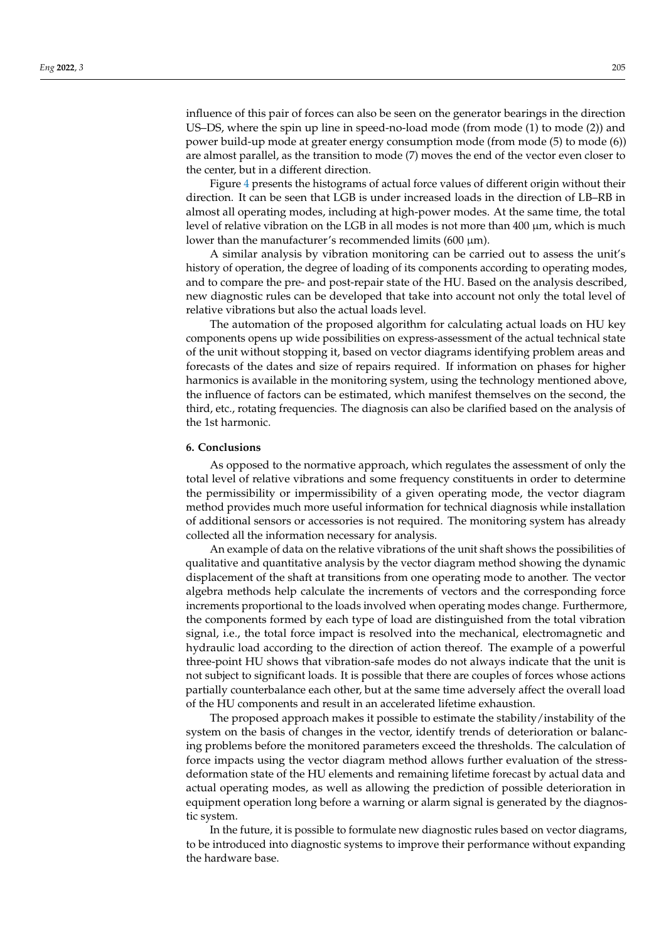influence of this pair of forces can also be seen on the generator bearings in the direction US–DS, where the spin up line in speed-no-load mode (from mode (1) to mode (2)) and power build-up mode at greater energy consumption mode (from mode (5) to mode (6)) are almost parallel, as the transition to mode (7) moves the end of the vector even closer to the center, but in a different direction.

Figure 4 presents the histograms of actual force values of different origin without their direction. It can be seen that LGB is under increased loads in the direction of LB–RB in almost all operating modes, including at high-power modes. At the same time, the total level of relative vibration on the LGB in all modes is not more than  $400 \mu m$ , which is much lower than the manufacturer's recommended limits  $(600 \mu m)$ .

A similar analysis by vibration monitoring can be carried out to assess the unit's history of operation, the degree of loading of its components according to operating modes, and to compare the pre- and post-repair state of the HU. Based on the analysis described, new diagnostic rules can be developed that take into account not only the total level of relative vibrations but also the actual loads level.

The automation of the proposed algorithm for calculating actual loads on HU key components opens up wide possibilities on express-assessment of the actual technical state of the unit without stopping it, based on vector diagrams identifying problem areas and forecasts of the dates and size of repairs required. If information on phases for higher harmonics is available in the monitoring system, using the technology mentioned above, the influence of factors can be estimated, which manifest themselves on the second, the third, etc., rotating frequencies. The diagnosis can also be clarified based on the analysis of the 1st harmonic.

#### **6. Conclusions**

As opposed to the normative approach, which regulates the assessment of only the total level of relative vibrations and some frequency constituents in order to determine the permissibility or impermissibility of a given operating mode, the vector diagram method provides much more useful information for technical diagnosis while installation of additional sensors or accessories is not required. The monitoring system has already collected all the information necessary for analysis.

An example of data on the relative vibrations of the unit shaft shows the possibilities of qualitative and quantitative analysis by the vector diagram method showing the dynamic displacement of the shaft at transitions from one operating mode to another. The vector algebra methods help calculate the increments of vectors and the corresponding force increments proportional to the loads involved when operating modes change. Furthermore, the components formed by each type of load are distinguished from the total vibration signal, i.e., the total force impact is resolved into the mechanical, electromagnetic and hydraulic load according to the direction of action thereof. The example of a powerful three-point HU shows that vibration-safe modes do not always indicate that the unit is not subject to significant loads. It is possible that there are couples of forces whose actions partially counterbalance each other, but at the same time adversely affect the overall load of the HU components and result in an accelerated lifetime exhaustion.

The proposed approach makes it possible to estimate the stability/instability of the system on the basis of changes in the vector, identify trends of deterioration or balancing problems before the monitored parameters exceed the thresholds. The calculation of force impacts using the vector diagram method allows further evaluation of the stressdeformation state of the HU elements and remaining lifetime forecast by actual data and actual operating modes, as well as allowing the prediction of possible deterioration in equipment operation long before a warning or alarm signal is generated by the diagnostic system.

In the future, it is possible to formulate new diagnostic rules based on vector diagrams, to be introduced into diagnostic systems to improve their performance without expanding the hardware base.